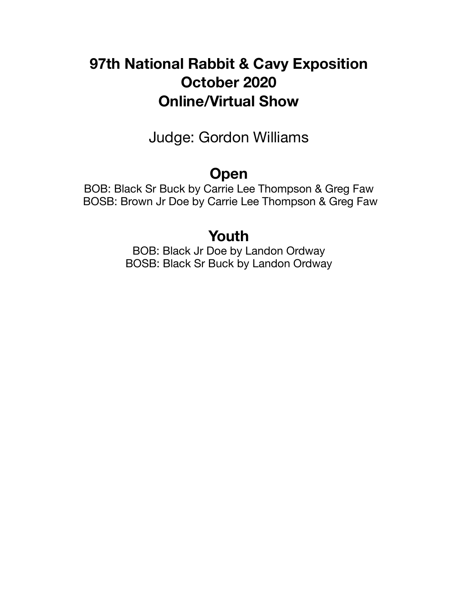# **97th National Rabbit & Cavy Exposition October 2020 Online/Virtual Show**

Judge: Gordon Williams

# **Open**

BOB: Black Sr Buck by Carrie Lee Thompson & Greg Faw BOSB: Brown Jr Doe by Carrie Lee Thompson & Greg Faw

# **Youth**

BOB: Black Jr Doe by Landon Ordway BOSB: Black Sr Buck by Landon Ordway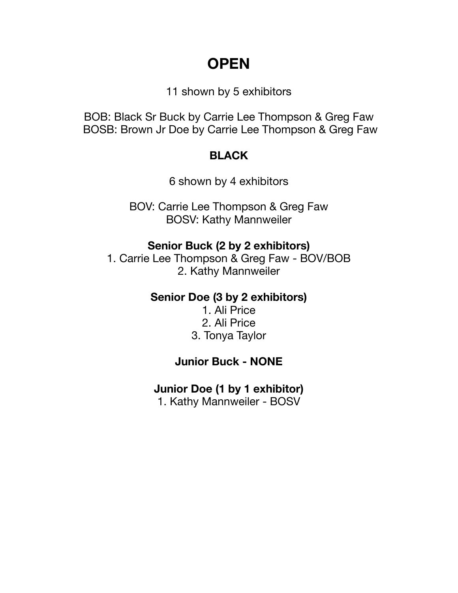# **OPEN**

11 shown by 5 exhibitors

BOB: Black Sr Buck by Carrie Lee Thompson & Greg Faw BOSB: Brown Jr Doe by Carrie Lee Thompson & Greg Faw

## **BLACK**

6 shown by 4 exhibitors

BOV: Carrie Lee Thompson & Greg Faw BOSV: Kathy Mannweiler

## **Senior Buck (2 by 2 exhibitors)**

1. Carrie Lee Thompson & Greg Faw - BOV/BOB 2. Kathy Mannweiler

### **Senior Doe (3 by 2 exhibitors)**

1. Ali Price 2. Ali Price 3. Tonya Taylor

# **Junior Buck - NONE**

# **Junior Doe (1 by 1 exhibitor)**

1. Kathy Mannweiler - BOSV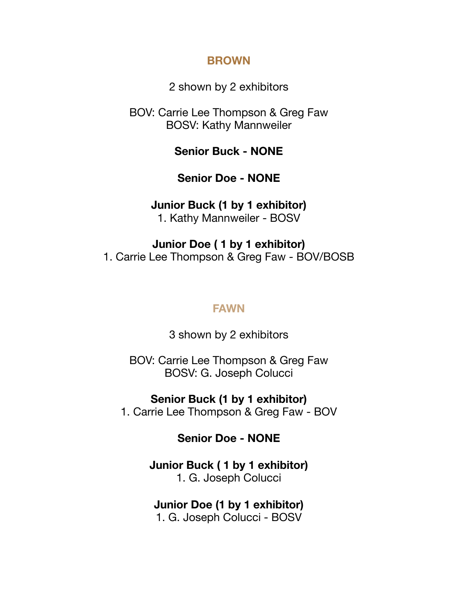### **BROWN**

2 shown by 2 exhibitors

BOV: Carrie Lee Thompson & Greg Faw BOSV: Kathy Mannweiler

**Senior Buck - NONE** 

**Senior Doe - NONE** 

### **Junior Buck (1 by 1 exhibitor)**

1. Kathy Mannweiler - BOSV

**Junior Doe ( 1 by 1 exhibitor)**  1. Carrie Lee Thompson & Greg Faw - BOV/BOSB

### **FAWN**

3 shown by 2 exhibitors

BOV: Carrie Lee Thompson & Greg Faw BOSV: G. Joseph Colucci

**Senior Buck (1 by 1 exhibitor)** 

1. Carrie Lee Thompson & Greg Faw - BOV

**Senior Doe - NONE** 

**Junior Buck ( 1 by 1 exhibitor)**  1. G. Joseph Colucci

**Junior Doe (1 by 1 exhibitor)** 

1. G. Joseph Colucci - BOSV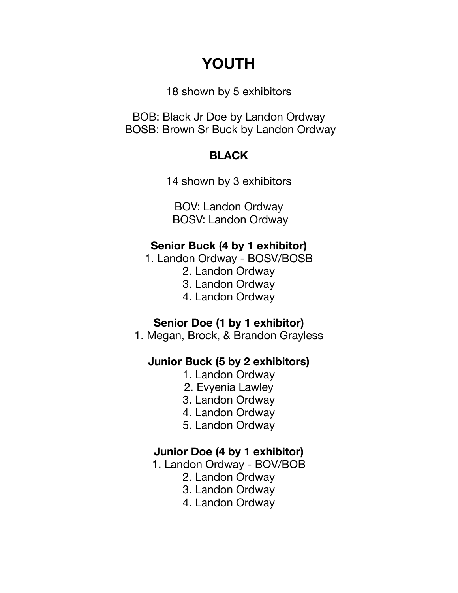# **YOUTH**

18 shown by 5 exhibitors

BOB: Black Jr Doe by Landon Ordway BOSB: Brown Sr Buck by Landon Ordway

## **BLACK**

14 shown by 3 exhibitors

BOV: Landon Ordway BOSV: Landon Ordway

## **Senior Buck (4 by 1 exhibitor)**

- 1. Landon Ordway BOSV/BOSB
	- 2. Landon Ordway
	- 3. Landon Ordway
	- 4. Landon Ordway

### **Senior Doe (1 by 1 exhibitor)**

1. Megan, Brock, & Brandon Grayless

# **Junior Buck (5 by 2 exhibitors)**

- 1. Landon Ordway
- 2. Evyenia Lawley
- 3. Landon Ordway
- 4. Landon Ordway
- 5. Landon Ordway

### **Junior Doe (4 by 1 exhibitor)**

- 1. Landon Ordway BOV/BOB
	- 2. Landon Ordway
	- 3. Landon Ordway
	- 4. Landon Ordway